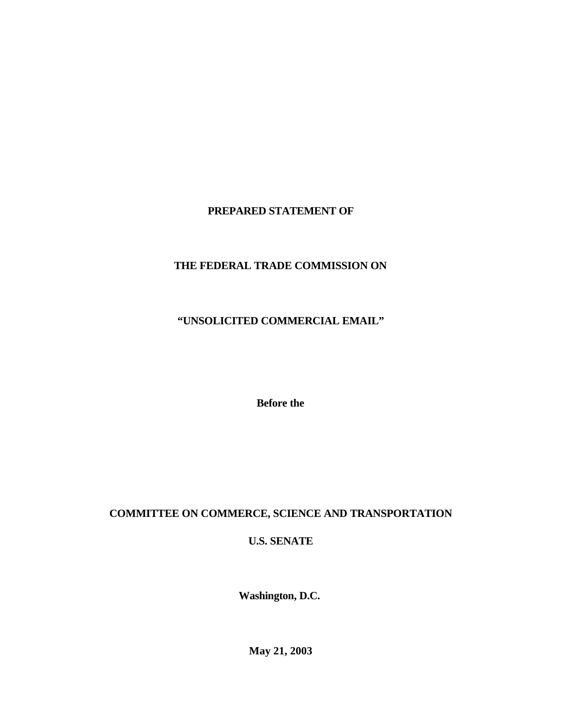# **PREPARED STATEMENT OF**

# **THE FEDERAL TRADE COMMISSION ON**

# **"UNSOLICITED COMMERCIAL EMAIL"**

**Before the**

# **COMMITTEE ON COMMERCE, SCIENCE AND TRANSPORTATION**

## **U.S. SENATE**

**Washington, D.C.** 

**May 21, 2003**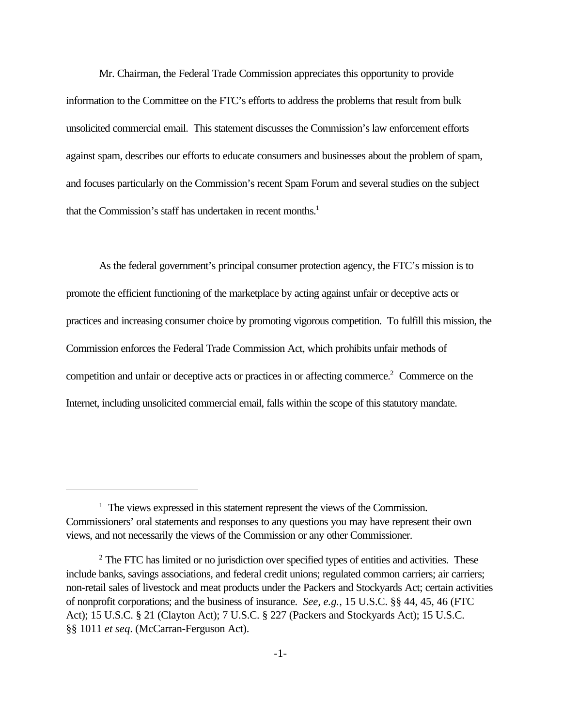Mr. Chairman, the Federal Trade Commission appreciates this opportunity to provide information to the Committee on the FTC's efforts to address the problems that result from bulk unsolicited commercial email. This statement discusses the Commission's law enforcement efforts against spam, describes our efforts to educate consumers and businesses about the problem of spam, and focuses particularly on the Commission's recent Spam Forum and several studies on the subject that the Commission's staff has undertaken in recent months.<sup>1</sup>

As the federal government's principal consumer protection agency, the FTC's mission is to promote the efficient functioning of the marketplace by acting against unfair or deceptive acts or practices and increasing consumer choice by promoting vigorous competition. To fulfill this mission, the Commission enforces the Federal Trade Commission Act, which prohibits unfair methods of competition and unfair or deceptive acts or practices in or affecting commerce.<sup>2</sup> Commerce on the Internet, including unsolicited commercial email, falls within the scope of this statutory mandate.

<sup>&</sup>lt;sup>1</sup> The views expressed in this statement represent the views of the Commission. Commissioners' oral statements and responses to any questions you may have represent their own views, and not necessarily the views of the Commission or any other Commissioner.

<sup>&</sup>lt;sup>2</sup> The FTC has limited or no jurisdiction over specified types of entities and activities. These include banks, savings associations, and federal credit unions; regulated common carriers; air carriers; non-retail sales of livestock and meat products under the Packers and Stockyards Act; certain activities of nonprofit corporations; and the business of insurance. *See, e.g.*, 15 U.S.C. §§ 44, 45, 46 (FTC Act); 15 U.S.C. § 21 (Clayton Act); 7 U.S.C. § 227 (Packers and Stockyards Act); 15 U.S.C. §§ 1011 *et seq*. (McCarran-Ferguson Act).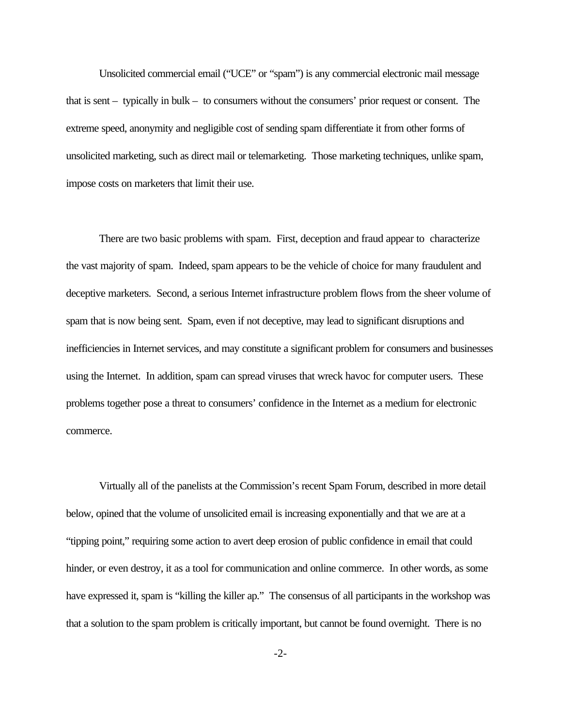Unsolicited commercial email ("UCE" or "spam") is any commercial electronic mail message that is sent – typically in bulk – to consumers without the consumers' prior request or consent. The extreme speed, anonymity and negligible cost of sending spam differentiate it from other forms of unsolicited marketing, such as direct mail or telemarketing. Those marketing techniques, unlike spam, impose costs on marketers that limit their use.

There are two basic problems with spam. First, deception and fraud appear to characterize the vast majority of spam. Indeed, spam appears to be the vehicle of choice for many fraudulent and deceptive marketers. Second, a serious Internet infrastructure problem flows from the sheer volume of spam that is now being sent. Spam, even if not deceptive, may lead to significant disruptions and inefficiencies in Internet services, and may constitute a significant problem for consumers and businesses using the Internet. In addition, spam can spread viruses that wreck havoc for computer users. These problems together pose a threat to consumers' confidence in the Internet as a medium for electronic commerce.

Virtually all of the panelists at the Commission's recent Spam Forum, described in more detail below, opined that the volume of unsolicited email is increasing exponentially and that we are at a "tipping point," requiring some action to avert deep erosion of public confidence in email that could hinder, or even destroy, it as a tool for communication and online commerce. In other words, as some have expressed it, spam is "killing the killer ap." The consensus of all participants in the workshop was that a solution to the spam problem is critically important, but cannot be found overnight. There is no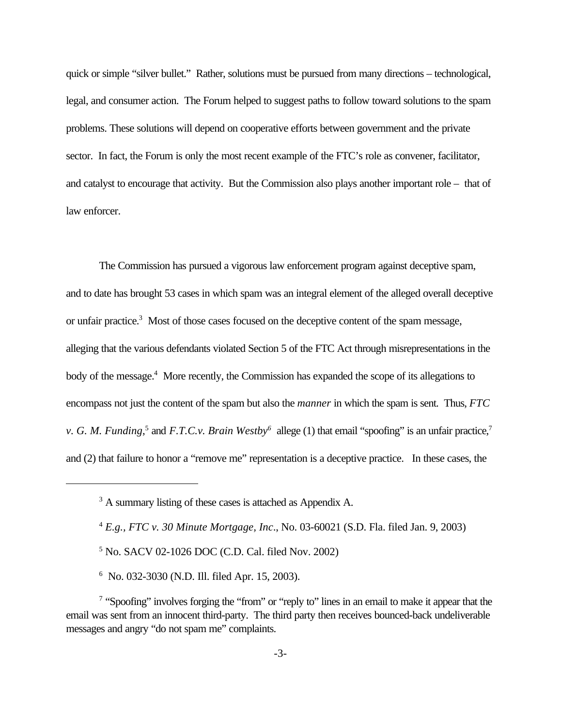quick or simple "silver bullet." Rather, solutions must be pursued from many directions – technological, legal, and consumer action. The Forum helped to suggest paths to follow toward solutions to the spam problems. These solutions will depend on cooperative efforts between government and the private sector. In fact, the Forum is only the most recent example of the FTC's role as convener, facilitator, and catalyst to encourage that activity. But the Commission also plays another important role – that of law enforcer.

The Commission has pursued a vigorous law enforcement program against deceptive spam, and to date has brought 53 cases in which spam was an integral element of the alleged overall deceptive or unfair practice.<sup>3</sup> Most of those cases focused on the deceptive content of the spam message, alleging that the various defendants violated Section 5 of the FTC Act through misrepresentations in the body of the message.<sup>4</sup> More recently, the Commission has expanded the scope of its allegations to encompass not just the content of the spam but also the *manner* in which the spam is sent. Thus, *FTC v. G. M. Funding*,<sup>5</sup> and *F.T.C.v. Brain Westby*<sup>6</sup> allege (1) that email "spoofing" is an unfair practice,<sup>7</sup> and (2) that failure to honor a "remove me" representation is a deceptive practice. In these cases, the

- 4  *E.g., FTC v. 30 Minute Mortgage, Inc*., No. 03-60021 (S.D. Fla. filed Jan. 9, 2003)
- 5 No. SACV 02-1026 DOC (C.D. Cal. filed Nov. 2002)
- 6 No. 032-3030 (N.D. Ill. filed Apr. 15, 2003).

<sup>&</sup>lt;sup>3</sup> A summary listing of these cases is attached as Appendix A.

<sup>&</sup>lt;sup>7</sup> "Spoofing" involves forging the "from" or "reply to" lines in an email to make it appear that the email was sent from an innocent third-party. The third party then receives bounced-back undeliverable messages and angry "do not spam me" complaints.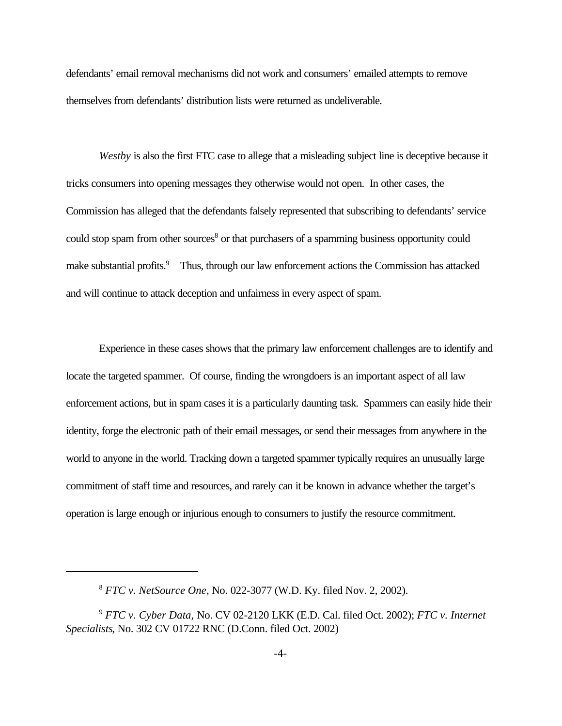defendants' email removal mechanisms did not work and consumers' emailed attempts to remove themselves from defendants' distribution lists were returned as undeliverable.

*Westby* is also the first FTC case to allege that a misleading subject line is deceptive because it tricks consumers into opening messages they otherwise would not open. In other cases, the Commission has alleged that the defendants falsely represented that subscribing to defendants' service could stop spam from other sources<sup>8</sup> or that purchasers of a spamming business opportunity could make substantial profits.<sup>9</sup> Thus, through our law enforcement actions the Commission has attacked and will continue to attack deception and unfairness in every aspect of spam.

Experience in these cases shows that the primary law enforcement challenges are to identify and locate the targeted spammer. Of course, finding the wrongdoers is an important aspect of all law enforcement actions, but in spam cases it is a particularly daunting task. Spammers can easily hide their identity, forge the electronic path of their email messages, or send their messages from anywhere in the world to anyone in the world. Tracking down a targeted spammer typically requires an unusually large commitment of staff time and resources, and rarely can it be known in advance whether the target's operation is large enough or injurious enough to consumers to justify the resource commitment.

<sup>8</sup>  *FTC v. NetSource One*, No. 022-3077 (W.D. Ky. filed Nov. 2, 2002).

<sup>9</sup> *FTC v. Cyber Data,* No. CV 02-2120 LKK (E.D. Cal. filed Oct. 2002); *FTC v. Internet Specialists*, No. 302 CV 01722 RNC (D.Conn. filed Oct. 2002)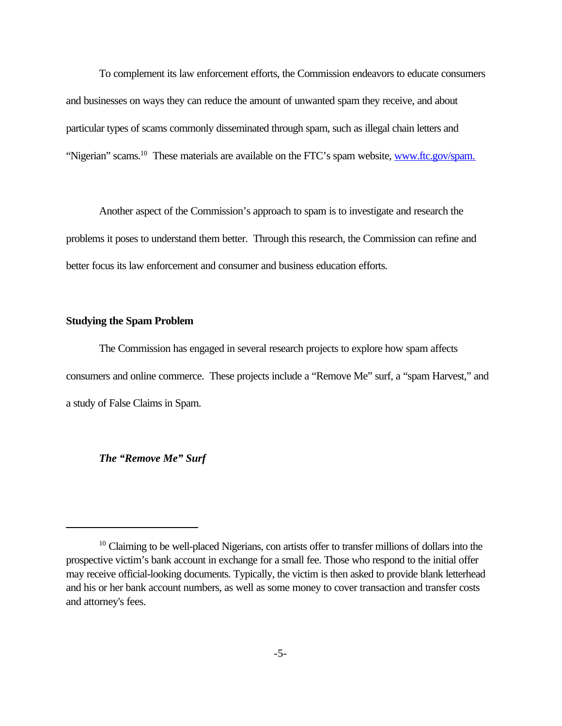To complement its law enforcement efforts, the Commission endeavors to educate consumers and businesses on ways they can reduce the amount of unwanted spam they receive, and about particular types of scams commonly disseminated through spam, such as illegal chain letters and "Nigerian" scams.<sup>10</sup> These materials are available on the FTC's spam website, www.ftc.gov/spam.

Another aspect of the Commission's approach to spam is to investigate and research the problems it poses to understand them better. Through this research, the Commission can refine and better focus its law enforcement and consumer and business education efforts.

#### **Studying the Spam Problem**

The Commission has engaged in several research projects to explore how spam affects consumers and online commerce. These projects include a "Remove Me" surf, a "spam Harvest," and a study of False Claims in Spam.

## *The "Remove Me" Surf*

<sup>&</sup>lt;sup>10</sup> Claiming to be well-placed Nigerians, con artists offer to transfer millions of dollars into the prospective victim's bank account in exchange for a small fee. Those who respond to the initial offer may receive official-looking documents. Typically, the victim is then asked to provide blank letterhead and his or her bank account numbers, as well as some money to cover transaction and transfer costs and attorney's fees.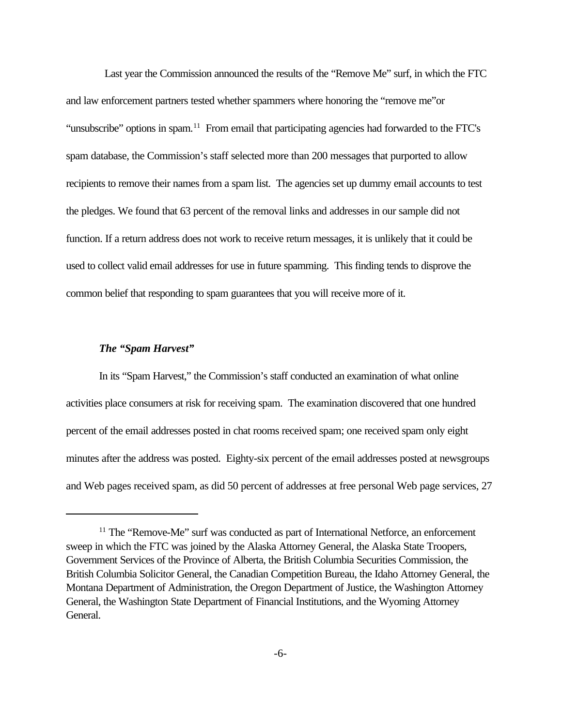Last year the Commission announced the results of the "Remove Me" surf, in which the FTC and law enforcement partners tested whether spammers where honoring the "remove me"or "unsubscribe" options in spam.<sup>11</sup> From email that participating agencies had forwarded to the FTC's spam database, the Commission's staff selected more than 200 messages that purported to allow recipients to remove their names from a spam list. The agencies set up dummy email accounts to test the pledges. We found that 63 percent of the removal links and addresses in our sample did not function. If a return address does not work to receive return messages, it is unlikely that it could be used to collect valid email addresses for use in future spamming. This finding tends to disprove the common belief that responding to spam guarantees that you will receive more of it.

## *The "Spam Harvest"*

In its "Spam Harvest," the Commission's staff conducted an examination of what online activities place consumers at risk for receiving spam. The examination discovered that one hundred percent of the email addresses posted in chat rooms received spam; one received spam only eight minutes after the address was posted. Eighty-six percent of the email addresses posted at newsgroups and Web pages received spam, as did 50 percent of addresses at free personal Web page services, 27

 $11$  The "Remove-Me" surf was conducted as part of International Netforce, an enforcement sweep in which the FTC was joined by the Alaska Attorney General, the Alaska State Troopers, Government Services of the Province of Alberta, the British Columbia Securities Commission, the British Columbia Solicitor General, the Canadian Competition Bureau, the Idaho Attorney General, the Montana Department of Administration, the Oregon Department of Justice, the Washington Attorney General, the Washington State Department of Financial Institutions, and the Wyoming Attorney General.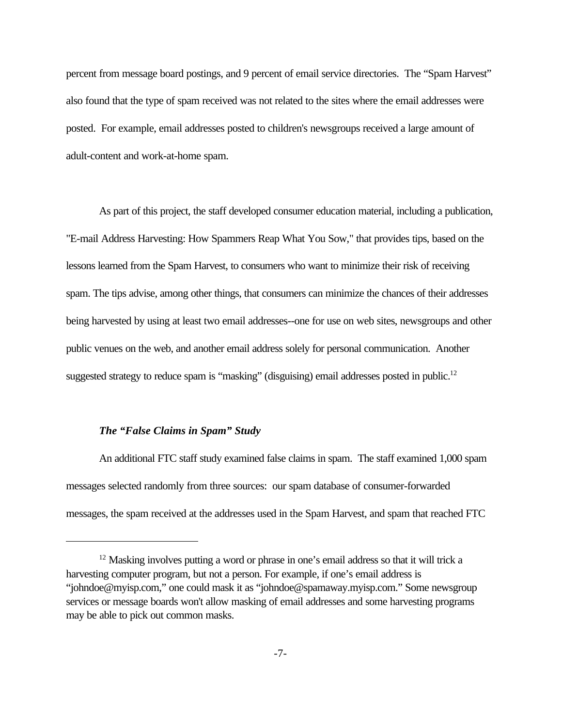percent from message board postings, and 9 percent of email service directories. The "Spam Harvest" also found that the type of spam received was not related to the sites where the email addresses were posted. For example, email addresses posted to children's newsgroups received a large amount of adult-content and work-at-home spam.

As part of this project, the staff developed consumer education material, including a publication, "E-mail Address Harvesting: How Spammers Reap What You Sow," that provides tips, based on the lessons learned from the Spam Harvest, to consumers who want to minimize their risk of receiving spam. The tips advise, among other things, that consumers can minimize the chances of their addresses being harvested by using at least two email addresses--one for use on web sites, newsgroups and other public venues on the web, and another email address solely for personal communication. Another suggested strategy to reduce spam is "masking" (disguising) email addresses posted in public.<sup>12</sup>

## *The "False Claims in Spam" Study*

An additional FTC staff study examined false claims in spam. The staff examined 1,000 spam messages selected randomly from three sources: our spam database of consumer-forwarded messages, the spam received at the addresses used in the Spam Harvest, and spam that reached FTC

<sup>&</sup>lt;sup>12</sup> Masking involves putting a word or phrase in one's email address so that it will trick a harvesting computer program, but not a person. For example, if one's email address is "johndoe@myisp.com," one could mask it as "johndoe@spamaway.myisp.com." Some newsgroup services or message boards won't allow masking of email addresses and some harvesting programs may be able to pick out common masks.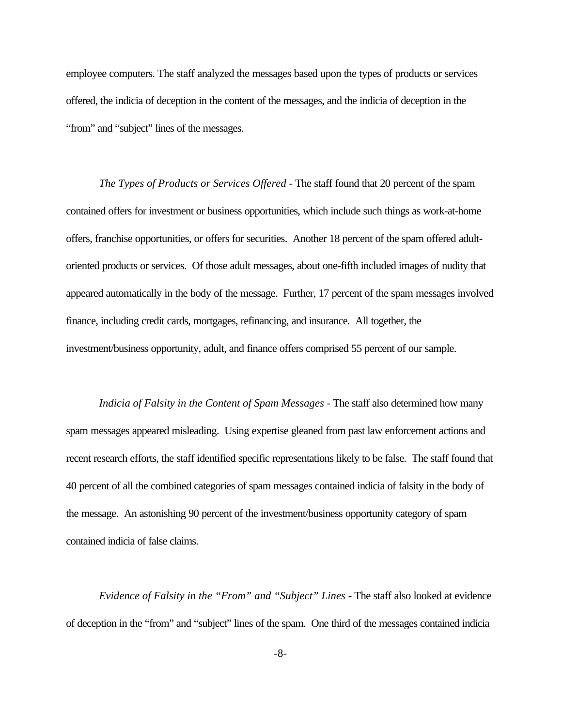employee computers. The staff analyzed the messages based upon the types of products or services offered, the indicia of deception in the content of the messages, and the indicia of deception in the "from" and "subject" lines of the messages.

*The Types of Products or Services Offered* - The staff found that 20 percent of the spam contained offers for investment or business opportunities, which include such things as work-at-home offers, franchise opportunities, or offers for securities. Another 18 percent of the spam offered adultoriented products or services. Of those adult messages, about one-fifth included images of nudity that appeared automatically in the body of the message. Further, 17 percent of the spam messages involved finance, including credit cards, mortgages, refinancing, and insurance. All together, the investment/business opportunity, adult, and finance offers comprised 55 percent of our sample.

*Indicia of Falsity in the Content of Spam Messages* - The staff also determined how many spam messages appeared misleading. Using expertise gleaned from past law enforcement actions and recent research efforts, the staff identified specific representations likely to be false. The staff found that 40 percent of all the combined categories of spam messages contained indicia of falsity in the body of the message. An astonishing 90 percent of the investment/business opportunity category of spam contained indicia of false claims.

*Evidence of Falsity in the "From" and "Subject" Lines* - The staff also looked at evidence of deception in the "from" and "subject" lines of the spam. One third of the messages contained indicia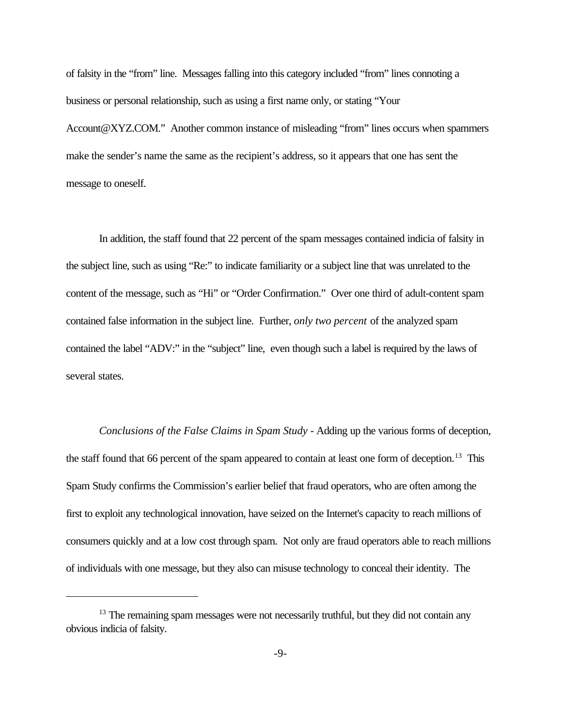of falsity in the "from" line. Messages falling into this category included "from" lines connoting a business or personal relationship, such as using a first name only, or stating "Your Account@XYZ.COM." Another common instance of misleading "from" lines occurs when spammers make the sender's name the same as the recipient's address, so it appears that one has sent the message to oneself.

In addition, the staff found that 22 percent of the spam messages contained indicia of falsity in the subject line, such as using "Re:" to indicate familiarity or a subject line that was unrelated to the content of the message, such as "Hi" or "Order Confirmation." Over one third of adult-content spam contained false information in the subject line. Further, *only two percent* of the analyzed spam contained the label "ADV:" in the "subject" line, even though such a label is required by the laws of several states.

*Conclusions of the False Claims in Spam Study* - Adding up the various forms of deception, the staff found that 66 percent of the spam appeared to contain at least one form of deception.<sup>13</sup> This Spam Study confirms the Commission's earlier belief that fraud operators, who are often among the first to exploit any technological innovation, have seized on the Internet's capacity to reach millions of consumers quickly and at a low cost through spam. Not only are fraud operators able to reach millions of individuals with one message, but they also can misuse technology to conceal their identity. The

<sup>&</sup>lt;sup>13</sup> The remaining spam messages were not necessarily truthful, but they did not contain any obvious indicia of falsity.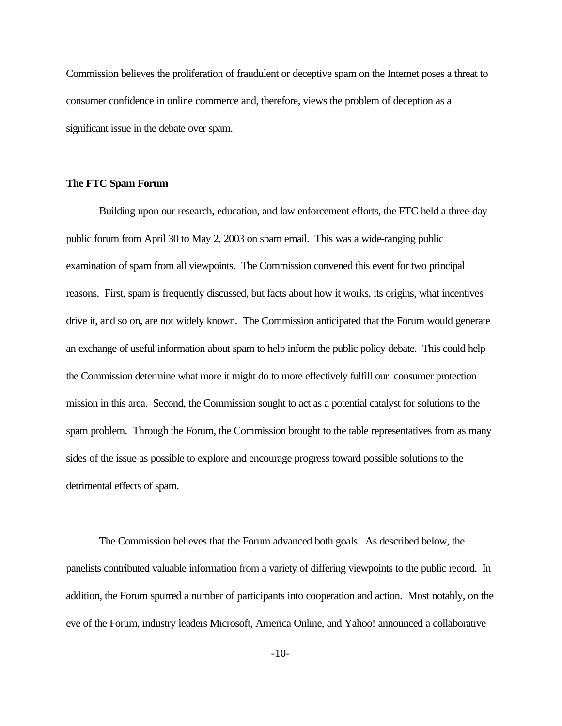Commission believes the proliferation of fraudulent or deceptive spam on the Internet poses a threat to consumer confidence in online commerce and, therefore, views the problem of deception as a significant issue in the debate over spam.

### **The FTC Spam Forum**

Building upon our research, education, and law enforcement efforts, the FTC held a three-day public forum from April 30 to May 2, 2003 on spam email. This was a wide-ranging public examination of spam from all viewpoints. The Commission convened this event for two principal reasons. First, spam is frequently discussed, but facts about how it works, its origins, what incentives drive it, and so on, are not widely known. The Commission anticipated that the Forum would generate an exchange of useful information about spam to help inform the public policy debate. This could help the Commission determine what more it might do to more effectively fulfill our consumer protection mission in this area. Second, the Commission sought to act as a potential catalyst for solutions to the spam problem. Through the Forum, the Commission brought to the table representatives from as many sides of the issue as possible to explore and encourage progress toward possible solutions to the detrimental effects of spam.

The Commission believes that the Forum advanced both goals. As described below, the panelists contributed valuable information from a variety of differing viewpoints to the public record. In addition, the Forum spurred a number of participants into cooperation and action. Most notably, on the eve of the Forum, industry leaders Microsoft, America Online, and Yahoo! announced a collaborative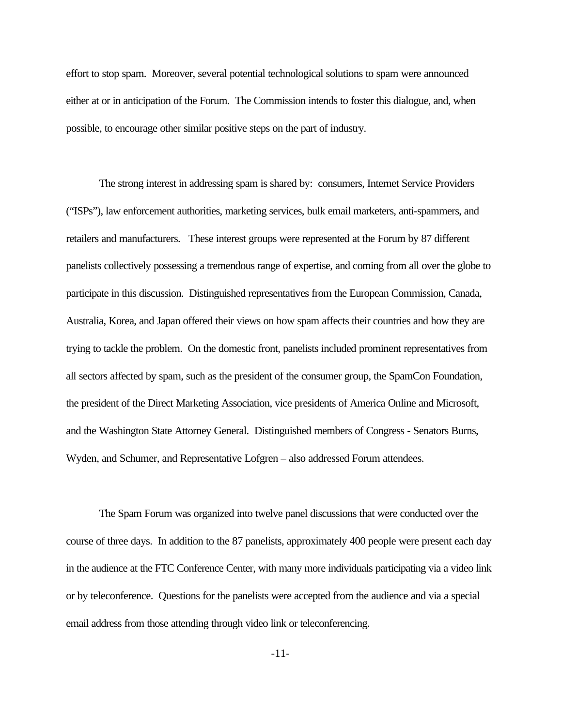effort to stop spam. Moreover, several potential technological solutions to spam were announced either at or in anticipation of the Forum. The Commission intends to foster this dialogue, and, when possible, to encourage other similar positive steps on the part of industry.

The strong interest in addressing spam is shared by: consumers, Internet Service Providers ("ISPs"), law enforcement authorities, marketing services, bulk email marketers, anti-spammers, and retailers and manufacturers. These interest groups were represented at the Forum by 87 different panelists collectively possessing a tremendous range of expertise, and coming from all over the globe to participate in this discussion. Distinguished representatives from the European Commission, Canada, Australia, Korea, and Japan offered their views on how spam affects their countries and how they are trying to tackle the problem. On the domestic front, panelists included prominent representatives from all sectors affected by spam, such as the president of the consumer group, the SpamCon Foundation, the president of the Direct Marketing Association, vice presidents of America Online and Microsoft, and the Washington State Attorney General. Distinguished members of Congress - Senators Burns, Wyden, and Schumer, and Representative Lofgren – also addressed Forum attendees.

The Spam Forum was organized into twelve panel discussions that were conducted over the course of three days. In addition to the 87 panelists, approximately 400 people were present each day in the audience at the FTC Conference Center, with many more individuals participating via a video link or by teleconference. Questions for the panelists were accepted from the audience and via a special email address from those attending through video link or teleconferencing.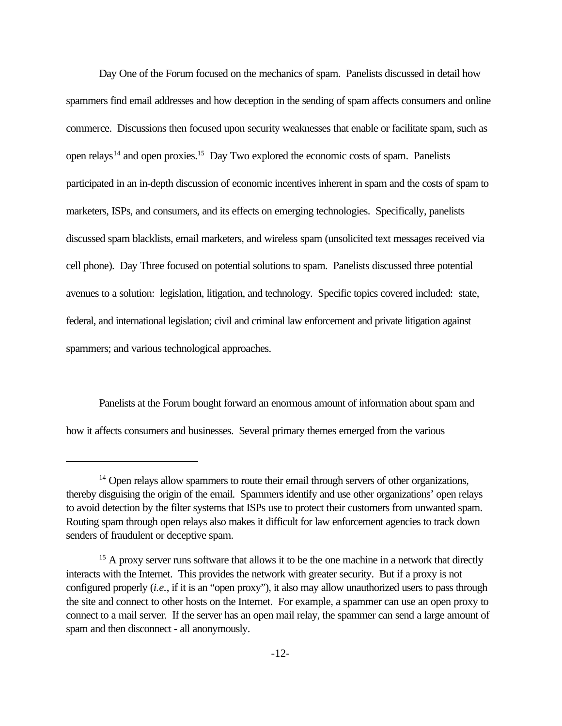Day One of the Forum focused on the mechanics of spam. Panelists discussed in detail how spammers find email addresses and how deception in the sending of spam affects consumers and online commerce. Discussions then focused upon security weaknesses that enable or facilitate spam, such as open relays<sup>14</sup> and open proxies.<sup>15</sup> Day Two explored the economic costs of spam. Panelists participated in an in-depth discussion of economic incentives inherent in spam and the costs of spam to marketers, ISPs, and consumers, and its effects on emerging technologies. Specifically, panelists discussed spam blacklists, email marketers, and wireless spam (unsolicited text messages received via cell phone). Day Three focused on potential solutions to spam. Panelists discussed three potential avenues to a solution: legislation, litigation, and technology. Specific topics covered included: state, federal, and international legislation; civil and criminal law enforcement and private litigation against spammers; and various technological approaches.

Panelists at the Forum bought forward an enormous amount of information about spam and how it affects consumers and businesses. Several primary themes emerged from the various

<sup>&</sup>lt;sup>14</sup> Open relays allow spammers to route their email through servers of other organizations, thereby disguising the origin of the email. Spammers identify and use other organizations' open relays to avoid detection by the filter systems that ISPs use to protect their customers from unwanted spam. Routing spam through open relays also makes it difficult for law enforcement agencies to track down senders of fraudulent or deceptive spam.

<sup>&</sup>lt;sup>15</sup> A proxy server runs software that allows it to be the one machine in a network that directly interacts with the Internet. This provides the network with greater security. But if a proxy is not configured properly (*i.e.*, if it is an "open proxy"), it also may allow unauthorized users to pass through the site and connect to other hosts on the Internet. For example, a spammer can use an open proxy to connect to a mail server. If the server has an open mail relay, the spammer can send a large amount of spam and then disconnect - all anonymously.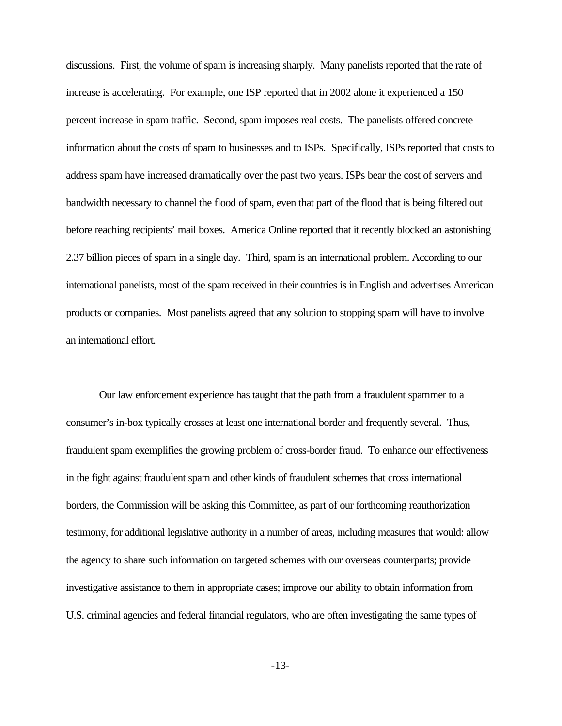discussions. First, the volume of spam is increasing sharply. Many panelists reported that the rate of increase is accelerating. For example, one ISP reported that in 2002 alone it experienced a 150 percent increase in spam traffic. Second, spam imposes real costs. The panelists offered concrete information about the costs of spam to businesses and to ISPs. Specifically, ISPs reported that costs to address spam have increased dramatically over the past two years. ISPs bear the cost of servers and bandwidth necessary to channel the flood of spam, even that part of the flood that is being filtered out before reaching recipients' mail boxes. America Online reported that it recently blocked an astonishing 2.37 billion pieces of spam in a single day. Third, spam is an international problem. According to our international panelists, most of the spam received in their countries is in English and advertises American products or companies. Most panelists agreed that any solution to stopping spam will have to involve an international effort.

Our law enforcement experience has taught that the path from a fraudulent spammer to a consumer's in-box typically crosses at least one international border and frequently several. Thus, fraudulent spam exemplifies the growing problem of cross-border fraud. To enhance our effectiveness in the fight against fraudulent spam and other kinds of fraudulent schemes that cross international borders, the Commission will be asking this Committee, as part of our forthcoming reauthorization testimony, for additional legislative authority in a number of areas, including measures that would: allow the agency to share such information on targeted schemes with our overseas counterparts; provide investigative assistance to them in appropriate cases; improve our ability to obtain information from U.S. criminal agencies and federal financial regulators, who are often investigating the same types of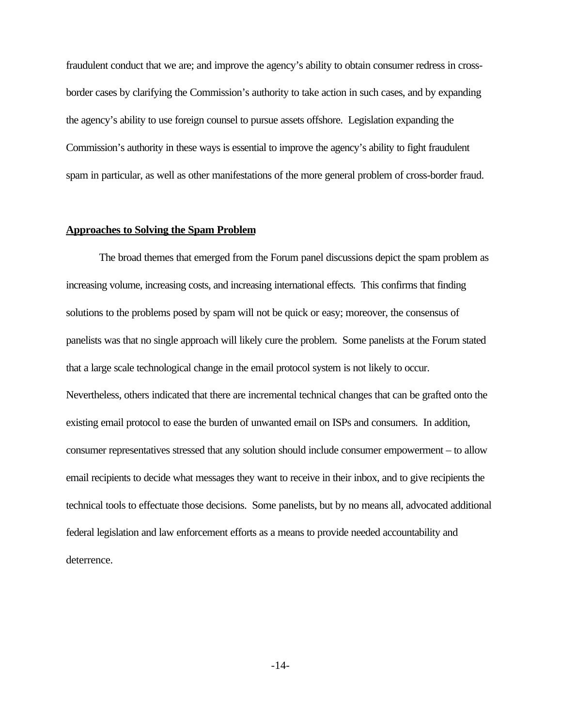fraudulent conduct that we are; and improve the agency's ability to obtain consumer redress in crossborder cases by clarifying the Commission's authority to take action in such cases, and by expanding the agency's ability to use foreign counsel to pursue assets offshore. Legislation expanding the Commission's authority in these ways is essential to improve the agency's ability to fight fraudulent spam in particular, as well as other manifestations of the more general problem of cross-border fraud.

#### **Approaches to Solving the Spam Problem**

The broad themes that emerged from the Forum panel discussions depict the spam problem as increasing volume, increasing costs, and increasing international effects. This confirms that finding solutions to the problems posed by spam will not be quick or easy; moreover, the consensus of panelists was that no single approach will likely cure the problem. Some panelists at the Forum stated that a large scale technological change in the email protocol system is not likely to occur. Nevertheless, others indicated that there are incremental technical changes that can be grafted onto the existing email protocol to ease the burden of unwanted email on ISPs and consumers. In addition, consumer representatives stressed that any solution should include consumer empowerment – to allow email recipients to decide what messages they want to receive in their inbox, and to give recipients the technical tools to effectuate those decisions. Some panelists, but by no means all, advocated additional federal legislation and law enforcement efforts as a means to provide needed accountability and deterrence.